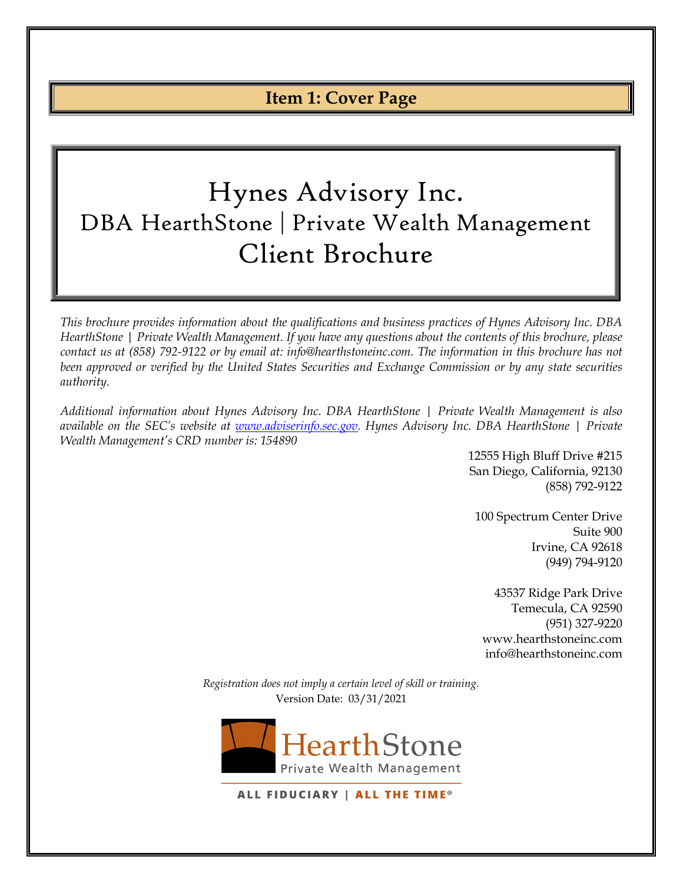# **Item 1: Cover Page**

# <span id="page-0-0"></span>Hynes Advisory Inc. DBA HearthStone | Private Wealth Management Client Brochure

*This brochure provides information about the qualifications and business practices of Hynes Advisory Inc. DBA HearthStone | Private Wealth Management. If you have any questions about the contents of this brochure, please contact us at (858) 792-9122 or by email at: info@hearthstoneinc.com. The information in this brochure has not been approved or verified by the United States Securities and Exchange Commission or by any state securities authority.*

*Additional information about Hynes Advisory Inc. DBA HearthStone | Private Wealth Management is also available on the SEC's website at [www.adviserinfo.sec.gov.](http://www.adviserinfo.sec.gov/) Hynes Advisory Inc. DBA HearthStone | Private Wealth Management's CRD number is: 154890*

> 12555 High Bluff Drive #215 San Diego, California, 92130 (858) 792-9122

100 Spectrum Center Drive Suite 900 Irvine, CA 92618 (949) 794-9120

43537 Ridge Park Drive Temecula, CA 92590 (951) 327-9220 www.hearthstoneinc.com info@hearthstoneinc.com

*Registration does not imply a certain level of skill or training.* Version Date: 03/31/2021



ALL FIDUCIARY | ALL THE TIME®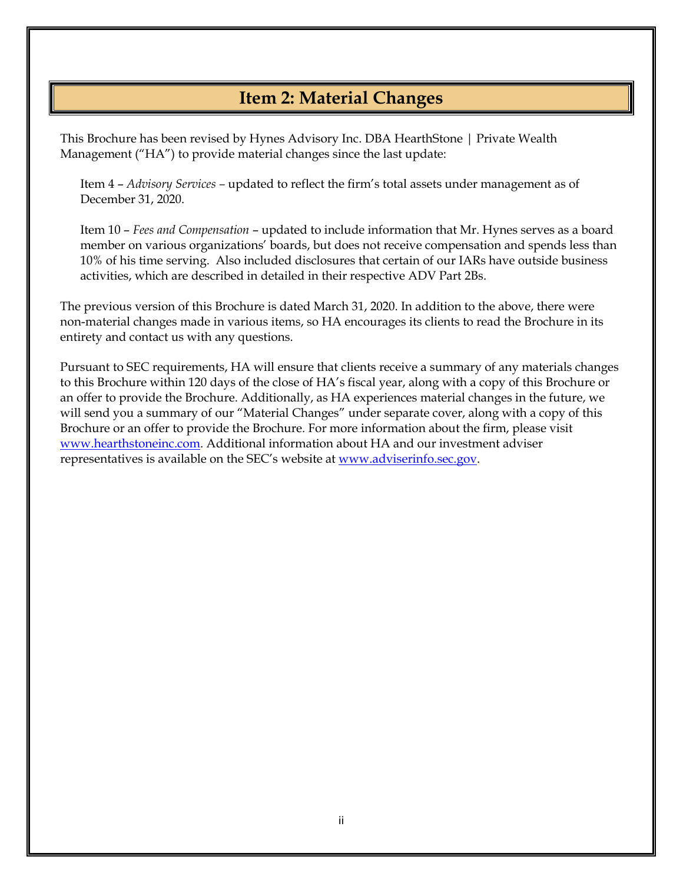# **Item 2: Material Changes**

<span id="page-1-0"></span>This Brochure has been revised by Hynes Advisory Inc. DBA HearthStone | Private Wealth Management ("HA") to provide material changes since the last update:

Item 4 – *Advisory Services –* updated to reflect the firm's total assets under management as of December 31, 2020.

Item 10 – *Fees and Compensation* – updated to include information that Mr. Hynes serves as a board member on various organizations' boards, but does not receive compensation and spends less than 10% of his time serving. Also included disclosures that certain of our IARs have outside business activities, which are described in detailed in their respective ADV Part 2Bs.

The previous version of this Brochure is dated March 31, 2020. In addition to the above, there were non-material changes made in various items, so HA encourages its clients to read the Brochure in its entirety and contact us with any questions.

Pursuant to SEC requirements, HA will ensure that clients receive a summary of any materials changes to this Brochure within 120 days of the close of HA's fiscal year, along with a copy of this Brochure or an offer to provide the Brochure. Additionally, as HA experiences material changes in the future, we will send you a summary of our "Material Changes" under separate cover, along with a copy of this Brochure or an offer to provide the Brochure. For more information about the firm, please visit [www.hearthstoneinc.com.](http://www.hearthstoneinc.com/) Additional information about HA and our investment adviser representatives is available on the SEC's website at [www.adviserinfo.sec.gov.](http://www.adviserinfo.sec.gov/)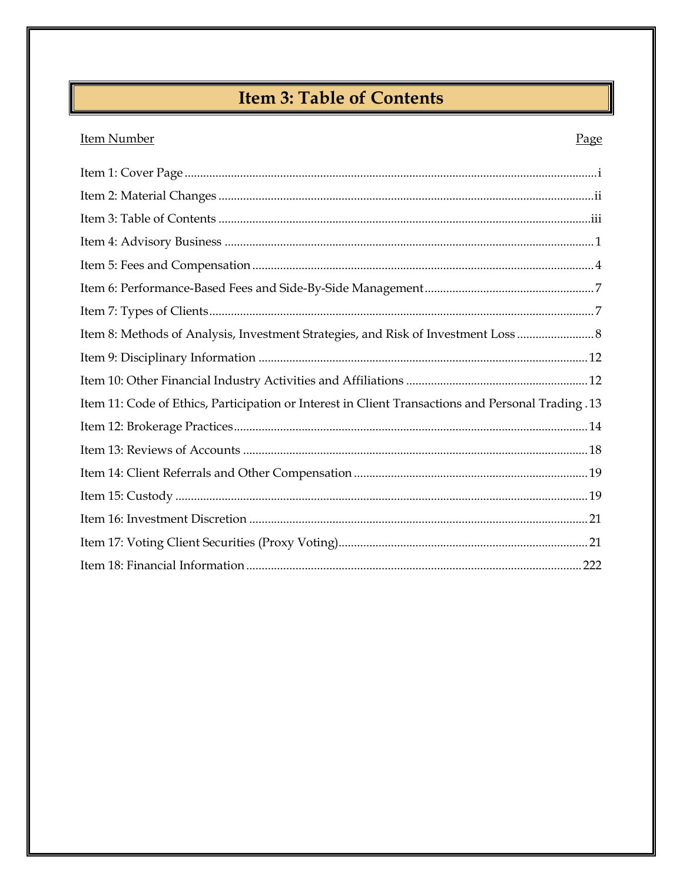# **Item 3: Table of Contents**

### <span id="page-2-0"></span>**Item Number**

### Page

| Item 8: Methods of Analysis, Investment Strategies, and Risk of Investment Loss                    |
|----------------------------------------------------------------------------------------------------|
|                                                                                                    |
|                                                                                                    |
| Item 11: Code of Ethics, Participation or Interest in Client Transactions and Personal Trading .13 |
|                                                                                                    |
|                                                                                                    |
|                                                                                                    |
|                                                                                                    |
|                                                                                                    |
|                                                                                                    |
|                                                                                                    |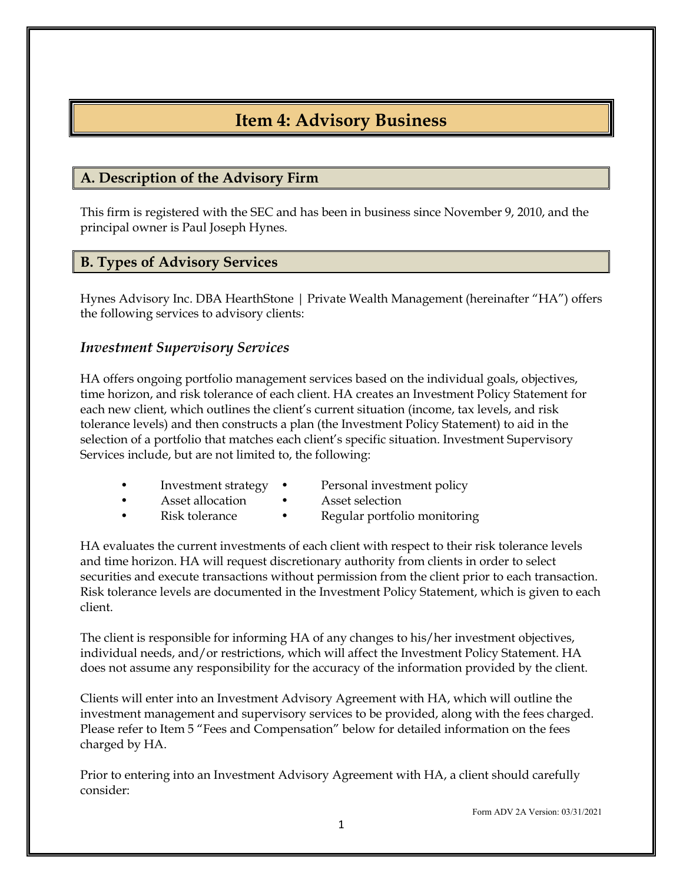# **Item 4: Advisory Business**

### <span id="page-3-0"></span>**A. Description of the Advisory Firm**

This firm is registered with the SEC and has been in business since November 9, 2010, and the principal owner is Paul Joseph Hynes.

#### **B. Types of Advisory Services**

Hynes Advisory Inc. DBA HearthStone | Private Wealth Management (hereinafter "HA") offers the following services to advisory clients:

#### *Investment Supervisory Services*

HA offers ongoing portfolio management services based on the individual goals, objectives, time horizon, and risk tolerance of each client. HA creates an Investment Policy Statement for each new client, which outlines the client's current situation (income, tax levels, and risk tolerance levels) and then constructs a plan (the Investment Policy Statement) to aid in the selection of a portfolio that matches each client's specific situation. Investment Supervisory Services include, but are not limited to, the following:

- 
- Asset allocation Asset selection
	-
- Investment strategy Personal investment policy
	- - Risk tolerance Regular portfolio monitoring

HA evaluates the current investments of each client with respect to their risk tolerance levels and time horizon. HA will request discretionary authority from clients in order to select securities and execute transactions without permission from the client prior to each transaction. Risk tolerance levels are documented in the Investment Policy Statement, which is given to each client.

The client is responsible for informing HA of any changes to his/her investment objectives, individual needs, and/or restrictions, which will affect the Investment Policy Statement. HA does not assume any responsibility for the accuracy of the information provided by the client.

Clients will enter into an Investment Advisory Agreement with HA, which will outline the investment management and supervisory services to be provided, along with the fees charged. Please refer to Item 5 "Fees and Compensation" below for detailed information on the fees charged by HA.

Prior to entering into an Investment Advisory Agreement with HA, a client should carefully consider: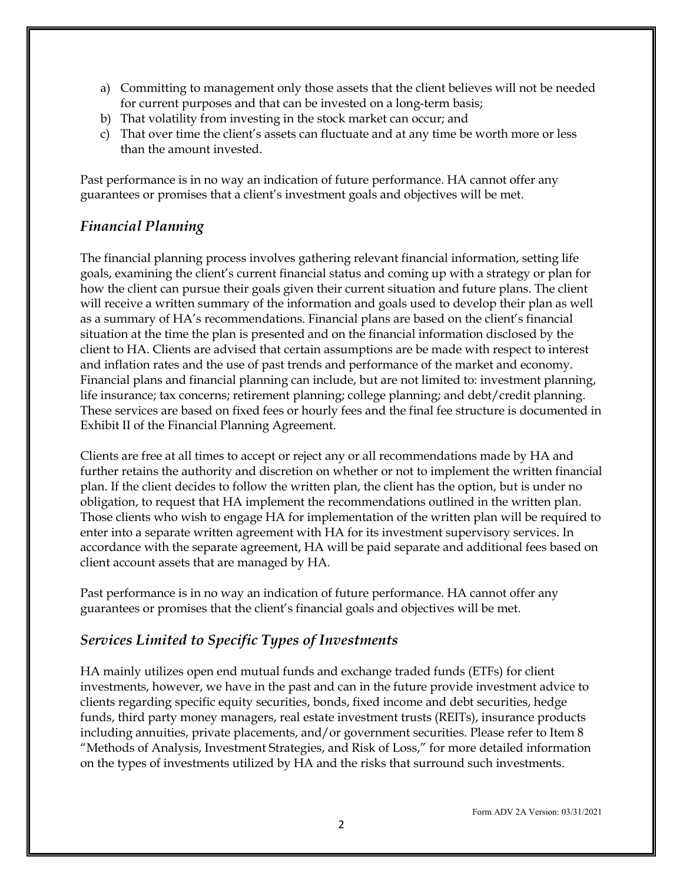- a) Committing to management only those assets that the client believes will not be needed for current purposes and that can be invested on a long-term basis;
- b) That volatility from investing in the stock market can occur; and
- c) That over time the client's assets can fluctuate and at any time be worth more or less than the amount invested.

Past performance is in no way an indication of future performance. HA cannot offer any guarantees or promises that a client's investment goals and objectives will be met.

#### *Financial Planning*

The financial planning process involves gathering relevant financial information, setting life goals, examining the client's current financial status and coming up with a strategy or plan for how the client can pursue their goals given their current situation and future plans. The client will receive a written summary of the information and goals used to develop their plan as well as a summary of HA's recommendations. Financial plans are based on the client's financial situation at the time the plan is presented and on the financial information disclosed by the client to HA. Clients are advised that certain assumptions are be made with respect to interest and inflation rates and the use of past trends and performance of the market and economy. Financial plans and financial planning can include, but are not limited to: investment planning, life insurance; tax concerns; retirement planning; college planning; and debt/credit planning. These services are based on fixed fees or hourly fees and the final fee structure is documented in Exhibit II of the Financial Planning Agreement.

Clients are free at all times to accept or reject any or all recommendations made by HA and further retains the authority and discretion on whether or not to implement the written financial plan. If the client decides to follow the written plan, the client has the option, but is under no obligation, to request that HA implement the recommendations outlined in the written plan. Those clients who wish to engage HA for implementation of the written plan will be required to enter into a separate written agreement with HA for its investment supervisory services. In accordance with the separate agreement, HA will be paid separate and additional fees based on client account assets that are managed by HA.

Past performance is in no way an indication of future performance. HA cannot offer any guarantees or promises that the client's financial goals and objectives will be met.

#### *Services Limited to Specific Types of Investments*

HA mainly utilizes open end mutual funds and exchange traded funds (ETFs) for client investments, however, we have in the past and can in the future provide investment advice to clients regarding specific equity securities, bonds, fixed income and debt securities, hedge funds, third party money managers, real estate investment trusts (REITs), insurance products including annuities, private placements, and/or government securities. Please refer to Item 8 "Methods of Analysis, Investment Strategies, and Risk of Loss," for more detailed information on the types of investments utilized by HA and the risks that surround such investments.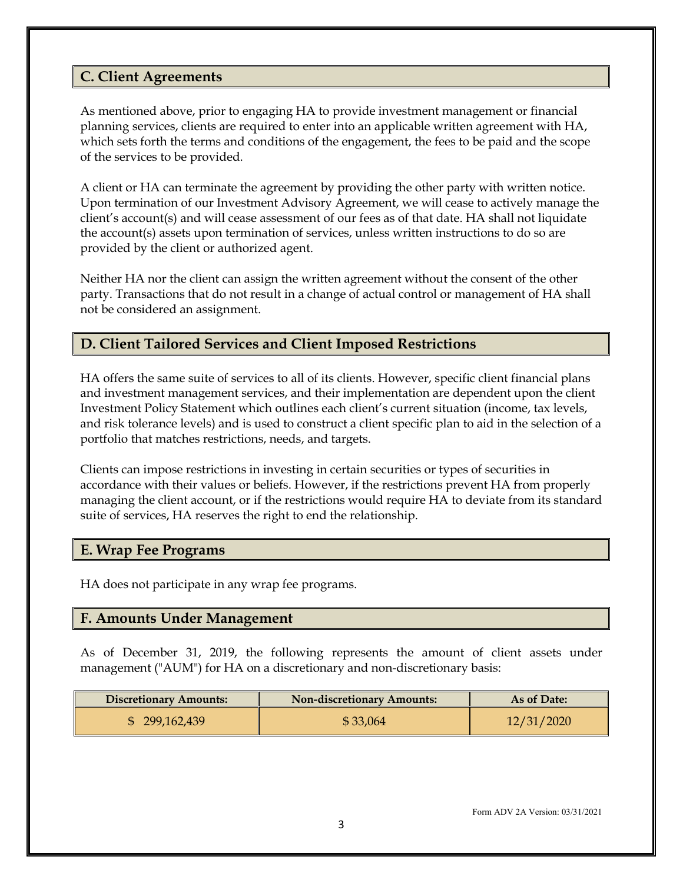### **C. Client Agreements**

As mentioned above, prior to engaging HA to provide investment management or financial planning services, clients are required to enter into an applicable written agreement with HA, which sets forth the terms and conditions of the engagement, the fees to be paid and the scope of the services to be provided.

A client or HA can terminate the agreement by providing the other party with written notice. Upon termination of our Investment Advisory Agreement, we will cease to actively manage the client's account(s) and will cease assessment of our fees as of that date. HA shall not liquidate the account(s) assets upon termination of services, unless written instructions to do so are provided by the client or authorized agent.

Neither HA nor the client can assign the written agreement without the consent of the other party. Transactions that do not result in a change of actual control or management of HA shall not be considered an assignment.

### **D. Client Tailored Services and Client Imposed Restrictions**

HA offers the same suite of services to all of its clients. However, specific client financial plans and investment management services, and their implementation are dependent upon the client Investment Policy Statement which outlines each client's current situation (income, tax levels, and risk tolerance levels) and is used to construct a client specific plan to aid in the selection of a portfolio that matches restrictions, needs, and targets.

Clients can impose restrictions in investing in certain securities or types of securities in accordance with their values or beliefs. However, if the restrictions prevent HA from properly managing the client account, or if the restrictions would require HA to deviate from its standard suite of services, HA reserves the right to end the relationship.

#### **E. Wrap Fee Programs**

HA does not participate in any wrap fee programs.

#### **F. Amounts Under Management**

As of December 31, 2019, the following represents the amount of client assets under management ("AUM") for HA on a discretionary and non-discretionary basis:

| <b>Discretionary Amounts:</b> | <b>Non-discretionary Amounts:</b> | As of Date: |
|-------------------------------|-----------------------------------|-------------|
| \$299,162,439                 | \$33,064                          | 12/31/2020  |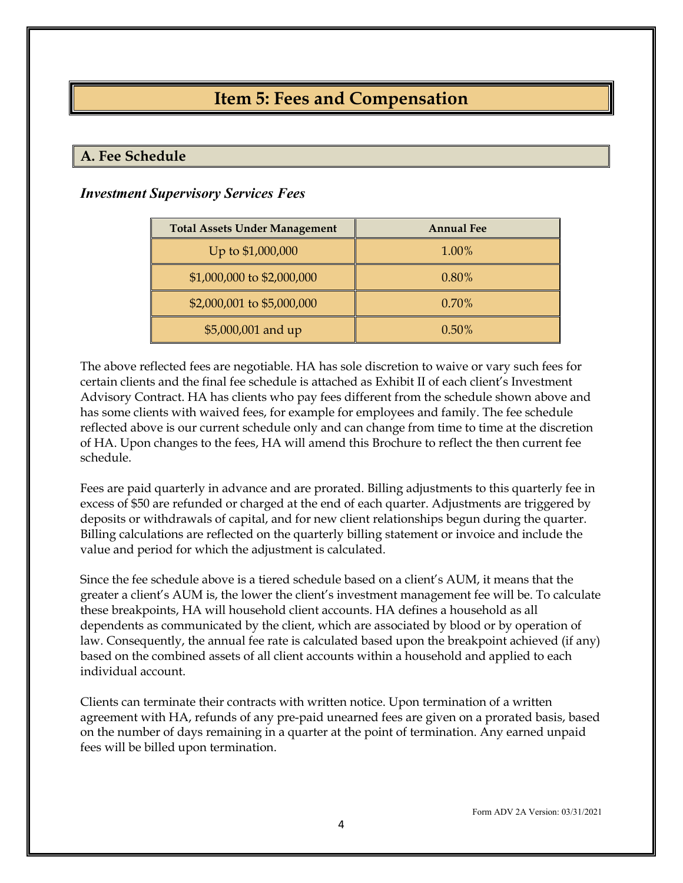# **Item 5: Fees and Compensation**

### <span id="page-6-0"></span>**A. Fee Schedule**

#### *Investment Supervisory Services Fees*

| <b>Total Assets Under Management</b> | <b>Annual Fee</b> |
|--------------------------------------|-------------------|
| Up to \$1,000,000                    | 1.00%             |
| \$1,000,000 to \$2,000,000           | 0.80%             |
| \$2,000,001 to \$5,000,000           | 0.70%             |
| \$5,000,001 and up                   | $0.50\%$          |

The above reflected fees are negotiable. HA has sole discretion to waive or vary such fees for certain clients and the final fee schedule is attached as Exhibit II of each client's Investment Advisory Contract. HA has clients who pay fees different from the schedule shown above and has some clients with waived fees, for example for employees and family. The fee schedule reflected above is our current schedule only and can change from time to time at the discretion of HA. Upon changes to the fees, HA will amend this Brochure to reflect the then current fee schedule.

Fees are paid quarterly in advance and are prorated. Billing adjustments to this quarterly fee in excess of \$50 are refunded or charged at the end of each quarter. Adjustments are triggered by deposits or withdrawals of capital, and for new client relationships begun during the quarter. Billing calculations are reflected on the quarterly billing statement or invoice and include the value and period for which the adjustment is calculated.

Since the fee schedule above is a tiered schedule based on a client's AUM, it means that the greater a client's AUM is, the lower the client's investment management fee will be. To calculate these breakpoints, HA will household client accounts. HA defines a household as all dependents as communicated by the client, which are associated by blood or by operation of law. Consequently, the annual fee rate is calculated based upon the breakpoint achieved (if any) based on the combined assets of all client accounts within a household and applied to each individual account.

Clients can terminate their contracts with written notice. Upon termination of a written agreement with HA, refunds of any pre-paid unearned fees are given on a prorated basis, based on the number of days remaining in a quarter at the point of termination. Any earned unpaid fees will be billed upon termination.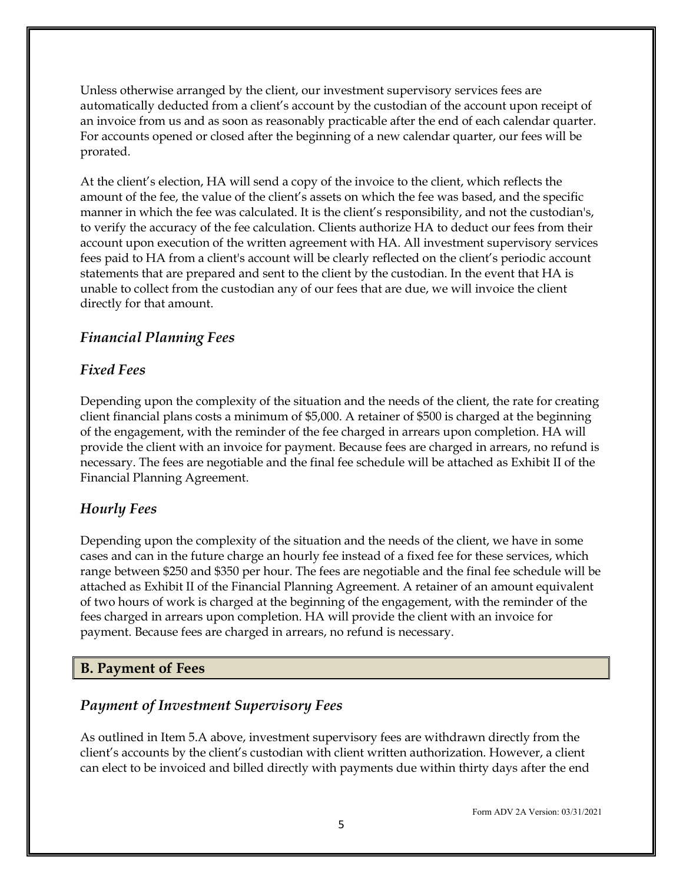Unless otherwise arranged by the client, our investment supervisory services fees are automatically deducted from a client's account by the custodian of the account upon receipt of an invoice from us and as soon as reasonably practicable after the end of each calendar quarter. For accounts opened or closed after the beginning of a new calendar quarter, our fees will be prorated.

At the client's election, HA will send a copy of the invoice to the client, which reflects the amount of the fee, the value of the client's assets on which the fee was based, and the specific manner in which the fee was calculated. It is the client's responsibility, and not the custodian's, to verify the accuracy of the fee calculation. Clients authorize HA to deduct our fees from their account upon execution of the written agreement with HA. All investment supervisory services fees paid to HA from a client's account will be clearly reflected on the client's periodic account statements that are prepared and sent to the client by the custodian. In the event that HA is unable to collect from the custodian any of our fees that are due, we will invoice the client directly for that amount.

#### *Financial Planning Fees*

#### *Fixed Fees*

Depending upon the complexity of the situation and the needs of the client, the rate for creating client financial plans costs a minimum of \$5,000. A retainer of \$500 is charged at the beginning of the engagement, with the reminder of the fee charged in arrears upon completion. HA will provide the client with an invoice for payment. Because fees are charged in arrears, no refund is necessary. The fees are negotiable and the final fee schedule will be attached as Exhibit II of the Financial Planning Agreement.

#### *Hourly Fees*

Depending upon the complexity of the situation and the needs of the client, we have in some cases and can in the future charge an hourly fee instead of a fixed fee for these services, which range between \$250 and \$350 per hour. The fees are negotiable and the final fee schedule will be attached as Exhibit II of the Financial Planning Agreement. A retainer of an amount equivalent of two hours of work is charged at the beginning of the engagement, with the reminder of the fees charged in arrears upon completion. HA will provide the client with an invoice for payment. Because fees are charged in arrears, no refund is necessary.

#### **B. Payment of Fees**

#### *Payment of Investment Supervisory Fees*

As outlined in Item 5.A above, investment supervisory fees are withdrawn directly from the client's accounts by the client's custodian with client written authorization. However, a client can elect to be invoiced and billed directly with payments due within thirty days after the end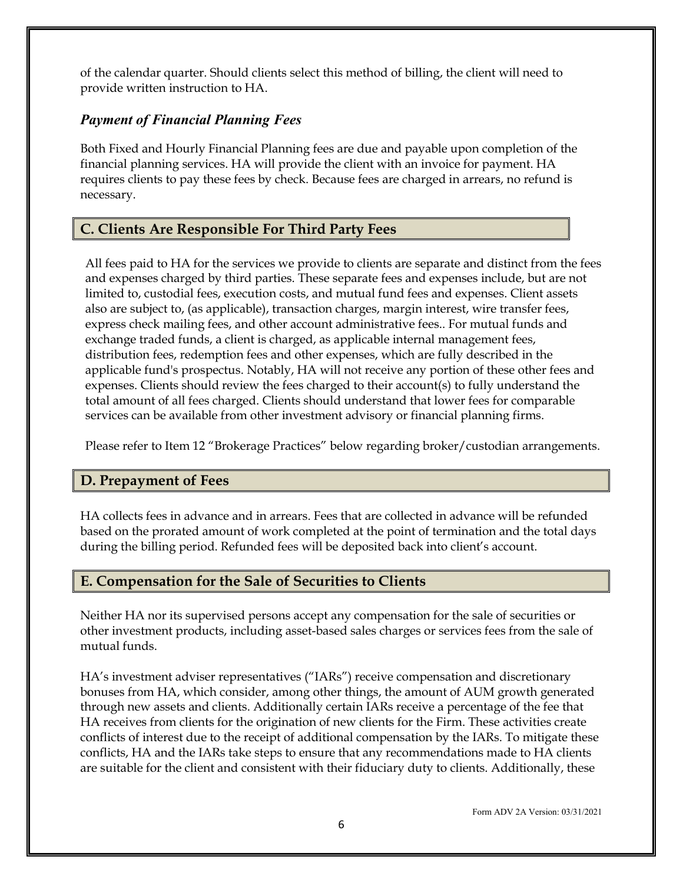of the calendar quarter. Should clients select this method of billing, the client will need to provide written instruction to HA.

#### *Payment of Financial Planning Fees*

Both Fixed and Hourly Financial Planning fees are due and payable upon completion of the financial planning services. HA will provide the client with an invoice for payment. HA requires clients to pay these fees by check. Because fees are charged in arrears, no refund is necessary.

### **C. Clients Are Responsible For Third Party Fees**

All fees paid to HA for the services we provide to clients are separate and distinct from the fees and expenses charged by third parties. These separate fees and expenses include, but are not limited to, custodial fees, execution costs, and mutual fund fees and expenses. Client assets also are subject to, (as applicable), transaction charges, margin interest, wire transfer fees, express check mailing fees, and other account administrative fees.. For mutual funds and exchange traded funds, a client is charged, as applicable internal management fees, distribution fees, redemption fees and other expenses, which are fully described in the applicable fund's prospectus. Notably, HA will not receive any portion of these other fees and expenses. Clients should review the fees charged to their account(s) to fully understand the total amount of all fees charged. Clients should understand that lower fees for comparable services can be available from other investment advisory or financial planning firms.

Please refer to Item 12 "Brokerage Practices" below regarding broker/custodian arrangements.

#### **D. Prepayment of Fees**

HA collects fees in advance and in arrears. Fees that are collected in advance will be refunded based on the prorated amount of work completed at the point of termination and the total days during the billing period. Refunded fees will be deposited back into client's account.

#### **E. Compensation for the Sale of Securities to Clients**

Neither HA nor its supervised persons accept any compensation for the sale of securities or other investment products, including asset-based sales charges or services fees from the sale of mutual funds.

HA's investment adviser representatives ("IARs") receive compensation and discretionary bonuses from HA, which consider, among other things, the amount of AUM growth generated through new assets and clients. Additionally certain IARs receive a percentage of the fee that HA receives from clients for the origination of new clients for the Firm. These activities create conflicts of interest due to the receipt of additional compensation by the IARs. To mitigate these conflicts, HA and the IARs take steps to ensure that any recommendations made to HA clients are suitable for the client and consistent with their fiduciary duty to clients. Additionally, these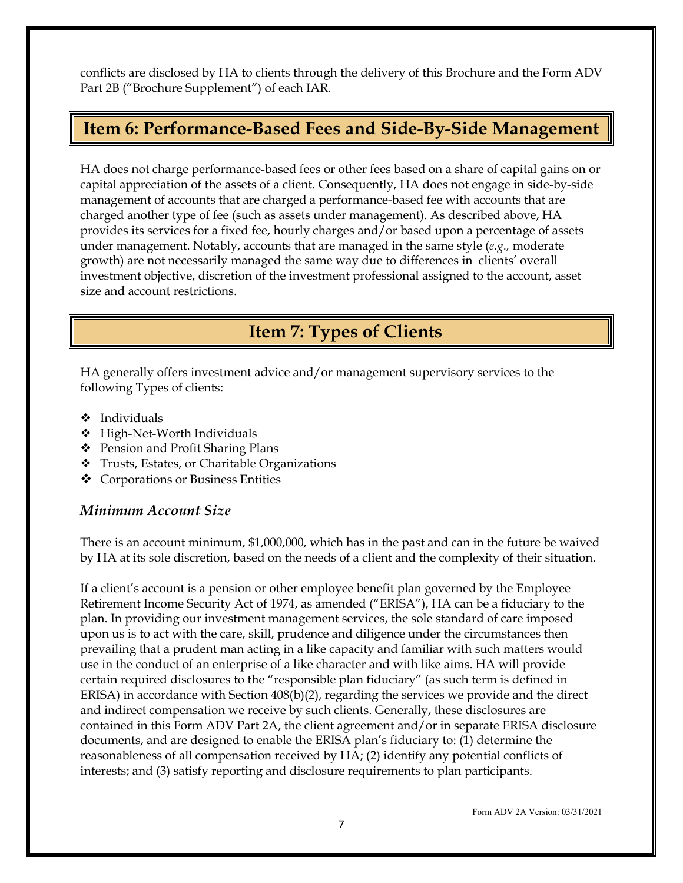conflicts are disclosed by HA to clients through the delivery of this Brochure and the Form ADV Part 2B ("Brochure Supplement") of each IAR.

### <span id="page-9-0"></span>**Item 6: Performance-Based Fees and Side-By-Side Management**

HA does not charge performance-based fees or other fees based on a share of capital gains on or capital appreciation of the assets of a client. Consequently, HA does not engage in side-by-side management of accounts that are charged a performance-based fee with accounts that are charged another type of fee (such as assets under management). As described above, HA provides its services for a fixed fee, hourly charges and/or based upon a percentage of assets under management. Notably, accounts that are managed in the same style (*e.g.,* moderate growth) are not necessarily managed the same way due to differences in clients' overall investment objective, discretion of the investment professional assigned to the account, asset size and account restrictions.

# <span id="page-9-1"></span> **Item 7: Types of Clients**

HA generally offers investment advice and/or management supervisory services to the following Types of clients:

- Individuals
- High-Net-Worth Individuals
- Pension and Profit Sharing Plans
- Trusts, Estates, or Charitable Organizations
- Corporations or Business Entities

#### *Minimum Account Size*

There is an account minimum, \$1,000,000, which has in the past and can in the future be waived by HA at its sole discretion, based on the needs of a client and the complexity of their situation.

If a client's account is a pension or other employee benefit plan governed by the Employee Retirement Income Security Act of 1974, as amended ("ERISA"), HA can be a fiduciary to the plan. In providing our investment management services, the sole standard of care imposed upon us is to act with the care, skill, prudence and diligence under the circumstances then prevailing that a prudent man acting in a like capacity and familiar with such matters would use in the conduct of an enterprise of a like character and with like aims. HA will provide certain required disclosures to the "responsible plan fiduciary" (as such term is defined in ERISA) in accordance with Section 408(b)(2), regarding the services we provide and the direct and indirect compensation we receive by such clients. Generally, these disclosures are contained in this Form ADV Part 2A, the client agreement and/or in separate ERISA disclosure documents, and are designed to enable the ERISA plan's fiduciary to: (1) determine the reasonableness of all compensation received by HA; (2) identify any potential conflicts of interests; and (3) satisfy reporting and disclosure requirements to plan participants.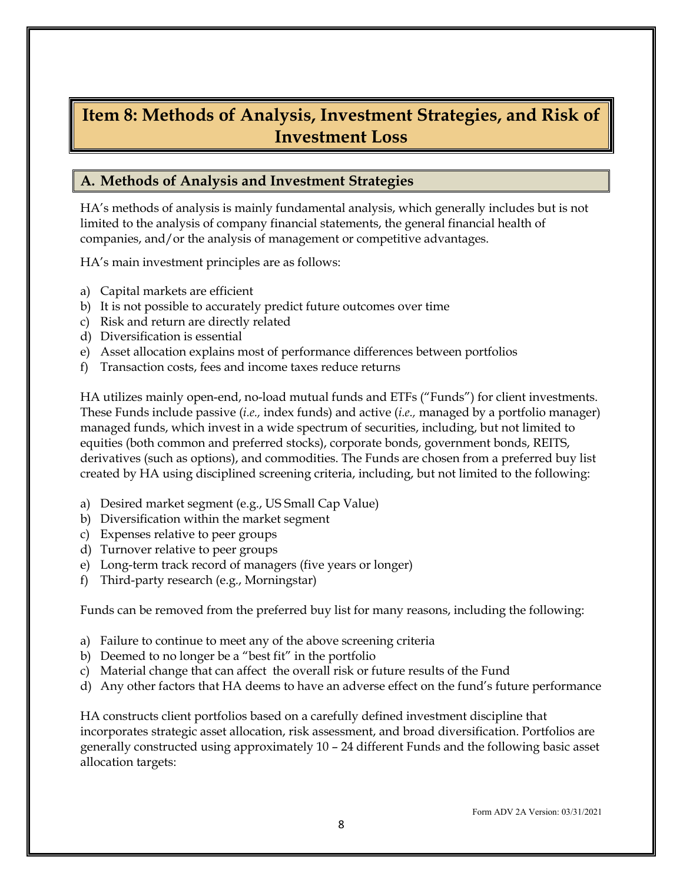### <span id="page-10-0"></span>**Item 8: Methods of Analysis, Investment Strategies, and Risk of Investment Loss**

#### **A. Methods of Analysis and Investment Strategies**

HA's methods of analysis is mainly fundamental analysis, which generally includes but is not limited to the analysis of company financial statements, the general financial health of companies, and/or the analysis of management or competitive advantages.

HA's main investment principles are as follows:

- a) Capital markets are efficient
- b) It is not possible to accurately predict future outcomes over time
- c) Risk and return are directly related
- d) Diversification is essential
- e) Asset allocation explains most of performance differences between portfolios
- f) Transaction costs, fees and income taxes reduce returns

HA utilizes mainly open-end, no-load mutual funds and ETFs ("Funds") for client investments. These Funds include passive (*i.e.,* index funds) and active (*i.e.,* managed by a portfolio manager) managed funds, which invest in a wide spectrum of securities, including, but not limited to equities (both common and preferred stocks), corporate bonds, government bonds, REITS, derivatives (such as options), and commodities. The Funds are chosen from a preferred buy list created by HA using disciplined screening criteria, including, but not limited to the following:

- a) Desired market segment (e.g., US Small Cap Value)
- b) Diversification within the market segment
- c) Expenses relative to peer groups
- d) Turnover relative to peer groups
- e) Long-term track record of managers (five years or longer)
- f) Third-party research (e.g., Morningstar)

Funds can be removed from the preferred buy list for many reasons, including the following:

- a) Failure to continue to meet any of the above screening criteria
- b) Deemed to no longer be a "best fit" in the portfolio
- c) Material change that can affect the overall risk or future results of the Fund
- d) Any other factors that HA deems to have an adverse effect on the fund's future performance

HA constructs client portfolios based on a carefully defined investment discipline that incorporates strategic asset allocation, risk assessment, and broad diversification. Portfolios are generally constructed using approximately 10 – 24 different Funds and the following basic asset allocation targets: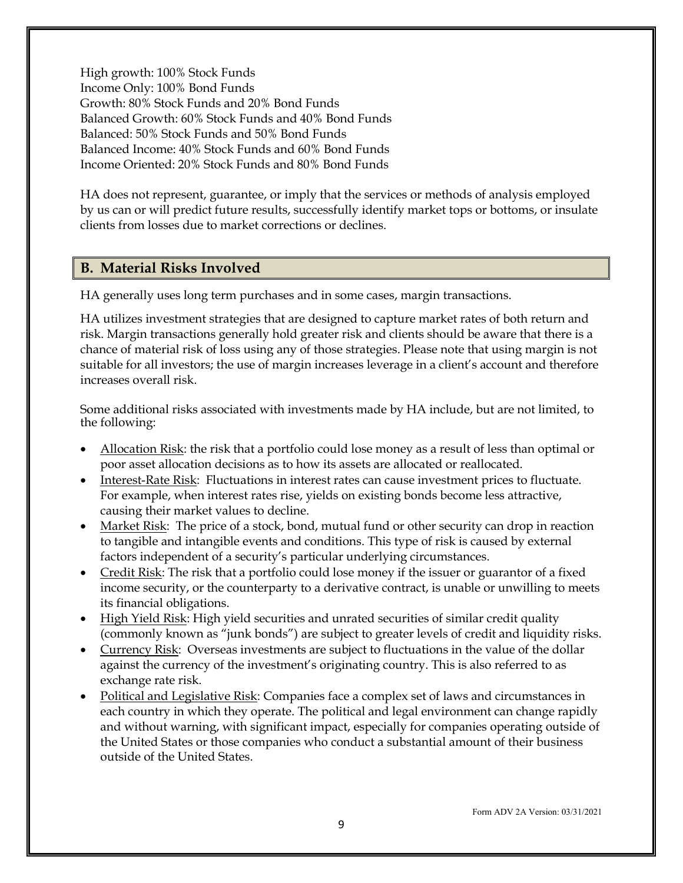High growth: 100% Stock Funds Income Only: 100% Bond Funds Growth: 80% Stock Funds and 20% Bond Funds Balanced Growth: 60% Stock Funds and 40% Bond Funds Balanced: 50% Stock Funds and 50% Bond Funds Balanced Income: 40% Stock Funds and 60% Bond Funds Income Oriented: 20% Stock Funds and 80% Bond Funds

HA does not represent, guarantee, or imply that the services or methods of analysis employed by us can or will predict future results, successfully identify market tops or bottoms, or insulate clients from losses due to market corrections or declines.

#### **B. Material Risks Involved**

HA generally uses long term purchases and in some cases, margin transactions.

HA utilizes investment strategies that are designed to capture market rates of both return and risk. Margin transactions generally hold greater risk and clients should be aware that there is a chance of material risk of loss using any of those strategies. Please note that using margin is not suitable for all investors; the use of margin increases leverage in a client's account and therefore increases overall risk.

Some additional risks associated with investments made by HA include, but are not limited, to the following:

- Allocation Risk: the risk that a portfolio could lose money as a result of less than optimal or poor asset allocation decisions as to how its assets are allocated or reallocated.
- Interest-Rate Risk: Fluctuations in interest rates can cause investment prices to fluctuate. For example, when interest rates rise, yields on existing bonds become less attractive, causing their market values to decline.
- Market Risk: The price of a stock, bond, mutual fund or other security can drop in reaction to tangible and intangible events and conditions. This type of risk is caused by external factors independent of a security's particular underlying circumstances.
- Credit Risk: The risk that a portfolio could lose money if the issuer or guarantor of a fixed income security, or the counterparty to a derivative contract, is unable or unwilling to meets its financial obligations.
- High Yield Risk: High yield securities and unrated securities of similar credit quality (commonly known as "junk bonds") are subject to greater levels of credit and liquidity risks.
- Currency Risk: Overseas investments are subject to fluctuations in the value of the dollar against the currency of the investment's originating country. This is also referred to as exchange rate risk.
- Political and Legislative Risk: Companies face a complex set of laws and circumstances in each country in which they operate. The political and legal environment can change rapidly and without warning, with significant impact, especially for companies operating outside of the United States or those companies who conduct a substantial amount of their business outside of the United States.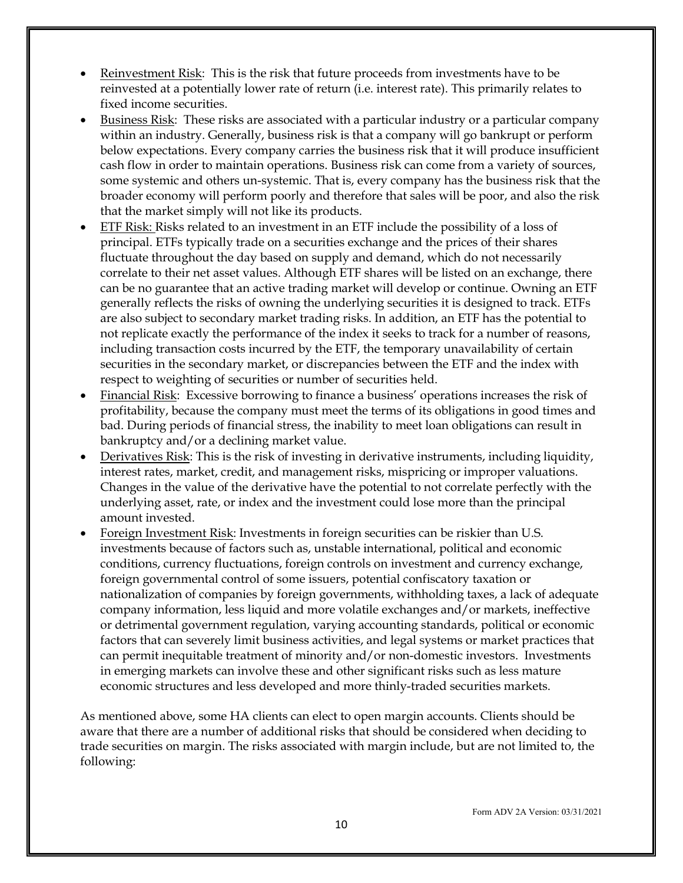- Reinvestment Risk: This is the risk that future proceeds from investments have to be reinvested at a potentially lower rate of return (i.e. interest rate). This primarily relates to fixed income securities.
- Business Risk: These risks are associated with a particular industry or a particular company within an industry. Generally, business risk is that a company will go bankrupt or perform below expectations. Every company carries the business risk that it will produce insufficient cash flow in order to maintain operations. Business risk can come from a variety of sources, some systemic and others un-systemic. That is, every company has the business risk that the broader economy will perform poorly and therefore that sales will be poor, and also the risk that the market simply will not like its products.
- ETF Risk: Risks related to an investment in an ETF include the possibility of a loss of principal. ETFs typically trade on a securities exchange and the prices of their shares fluctuate throughout the day based on supply and demand, which do not necessarily correlate to their net asset values. Although ETF shares will be listed on an exchange, there can be no guarantee that an active trading market will develop or continue. Owning an ETF generally reflects the risks of owning the underlying securities it is designed to track. ETFs are also subject to secondary market trading risks. In addition, an ETF has the potential to not replicate exactly the performance of the index it seeks to track for a number of reasons, including transaction costs incurred by the ETF, the temporary unavailability of certain securities in the secondary market, or discrepancies between the ETF and the index with respect to weighting of securities or number of securities held.
- Financial Risk: Excessive borrowing to finance a business' operations increases the risk of profitability, because the company must meet the terms of its obligations in good times and bad. During periods of financial stress, the inability to meet loan obligations can result in bankruptcy and/or a declining market value.
- Derivatives Risk: This is the risk of investing in derivative instruments, including liquidity, interest rates, market, credit, and management risks, mispricing or improper valuations. Changes in the value of the derivative have the potential to not correlate perfectly with the underlying asset, rate, or index and the investment could lose more than the principal amount invested.
- Foreign Investment Risk: Investments in foreign securities can be riskier than U.S. investments because of factors such as, unstable international, political and economic conditions, currency fluctuations, foreign controls on investment and currency exchange, foreign governmental control of some issuers, potential confiscatory taxation or nationalization of companies by foreign governments, withholding taxes, a lack of adequate company information, less liquid and more volatile exchanges and/or markets, ineffective or detrimental government regulation, varying accounting standards, political or economic factors that can severely limit business activities, and legal systems or market practices that can permit inequitable treatment of minority and/or non-domestic investors. Investments in emerging markets can involve these and other significant risks such as less mature economic structures and less developed and more thinly-traded securities markets.

As mentioned above, some HA clients can elect to open margin accounts. Clients should be aware that there are a number of additional risks that should be considered when deciding to trade securities on margin. The risks associated with margin include, but are not limited to, the following: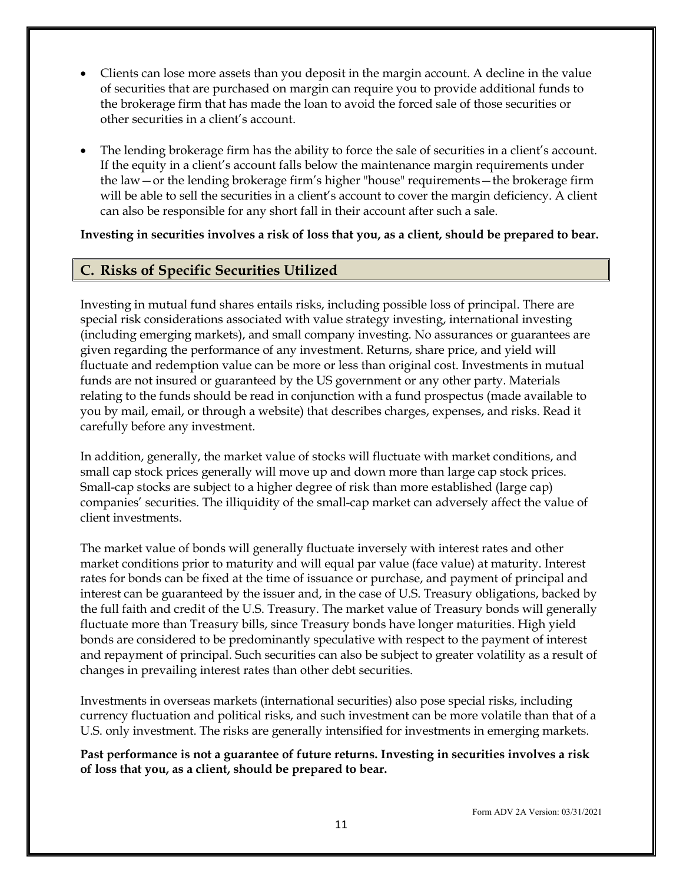- Clients can lose more assets than you deposit in the margin account. A decline in the value of securities that are purchased on margin can require you to provide additional funds to the brokerage firm that has made the loan to avoid the forced sale of those securities or other securities in a client's account.
- The lending brokerage firm has the ability to force the sale of securities in a client's account. If the equity in a client's account falls below the maintenance margin requirements under the law—or the lending brokerage firm's higher "house" requirements—the brokerage firm will be able to sell the securities in a client's account to cover the margin deficiency. A client can also be responsible for any short fall in their account after such a sale.

**Investing in securities involves a risk of loss that you, as a client, should be prepared to bear.**

#### **C. Risks of Specific Securities Utilized**

Investing in mutual fund shares entails risks, including possible loss of principal. There are special risk considerations associated with value strategy investing, international investing (including emerging markets), and small company investing. No assurances or guarantees are given regarding the performance of any investment. Returns, share price, and yield will fluctuate and redemption value can be more or less than original cost. Investments in mutual funds are not insured or guaranteed by the US government or any other party. Materials relating to the funds should be read in conjunction with a fund prospectus (made available to you by mail, email, or through a website) that describes charges, expenses, and risks. Read it carefully before any investment.

In addition, generally, the market value of stocks will fluctuate with market conditions, and small cap stock prices generally will move up and down more than large cap stock prices. Small-cap stocks are subject to a higher degree of risk than more established (large cap) companies' securities. The illiquidity of the small-cap market can adversely affect the value of client investments.

The market value of bonds will generally fluctuate inversely with interest rates and other market conditions prior to maturity and will equal par value (face value) at maturity. Interest rates for bonds can be fixed at the time of issuance or purchase, and payment of principal and interest can be guaranteed by the issuer and, in the case of U.S. Treasury obligations, backed by the full faith and credit of the U.S. Treasury. The market value of Treasury bonds will generally fluctuate more than Treasury bills, since Treasury bonds have longer maturities. High yield bonds are considered to be predominantly speculative with respect to the payment of interest and repayment of principal. Such securities can also be subject to greater volatility as a result of changes in prevailing interest rates than other debt securities.

Investments in overseas markets (international securities) also pose special risks, including currency fluctuation and political risks, and such investment can be more volatile than that of a U.S. only investment. The risks are generally intensified for investments in emerging markets.

**Past performance is not a guarantee of future returns. Investing in securities involves a risk of loss that you, as a client, should be prepared to bear.**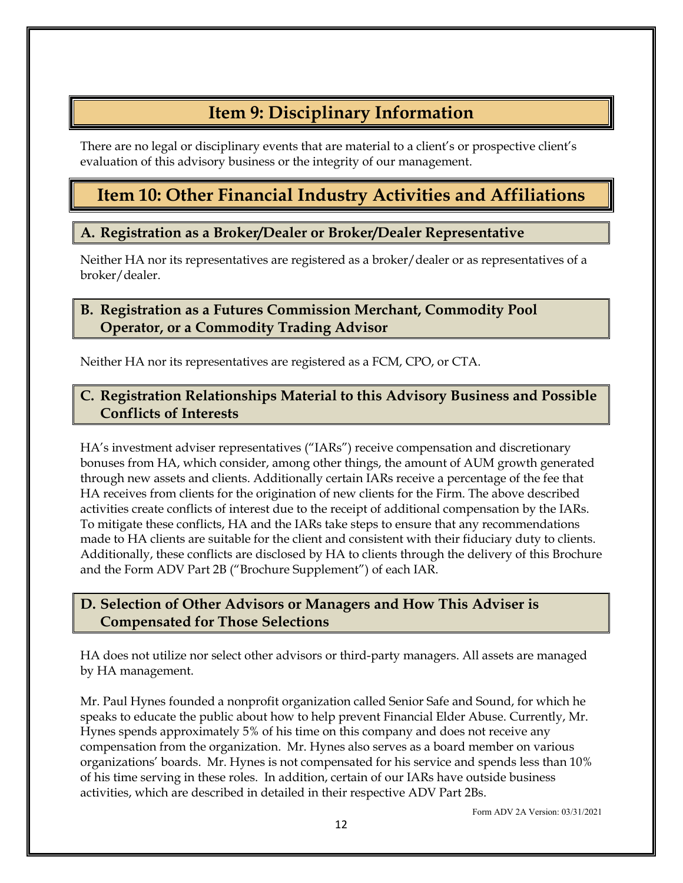# **Item 9: Disciplinary Information**

<span id="page-14-0"></span>There are no legal or disciplinary events that are material to a client's or prospective client's evaluation of this advisory business or the integrity of our management.

# <span id="page-14-1"></span>**Item 10: Other Financial Industry Activities and Affiliations**

### **A. Registration as a Broker/Dealer or Broker/Dealer Representative**

Neither HA nor its representatives are registered as a broker/dealer or as representatives of a broker/dealer.

#### **B. Registration as a Futures Commission Merchant, Commodity Pool Operator, or a Commodity Trading Advisor**

Neither HA nor its representatives are registered as a FCM, CPO, or CTA.

### **C. Registration Relationships Material to this Advisory Business and Possible Conflicts of Interests**

HA's investment adviser representatives ("IARs") receive compensation and discretionary bonuses from HA, which consider, among other things, the amount of AUM growth generated through new assets and clients. Additionally certain IARs receive a percentage of the fee that HA receives from clients for the origination of new clients for the Firm. The above described activities create conflicts of interest due to the receipt of additional compensation by the IARs. To mitigate these conflicts, HA and the IARs take steps to ensure that any recommendations made to HA clients are suitable for the client and consistent with their fiduciary duty to clients. Additionally, these conflicts are disclosed by HA to clients through the delivery of this Brochure and the Form ADV Part 2B ("Brochure Supplement") of each IAR.

### **D. Selection of Other Advisors or Managers and How This Adviser is Compensated for Those Selections**

HA does not utilize nor select other advisors or third-party managers. All assets are managed by HA management.

Mr. Paul Hynes founded a nonprofit organization called Senior Safe and Sound, for which he speaks to educate the public about how to help prevent Financial Elder Abuse. Currently, Mr. Hynes spends approximately 5% of his time on this company and does not receive any compensation from the organization. Mr. Hynes also serves as a board member on various organizations' boards. Mr. Hynes is not compensated for his service and spends less than 10% of his time serving in these roles. In addition, certain of our IARs have outside business activities, which are described in detailed in their respective ADV Part 2Bs.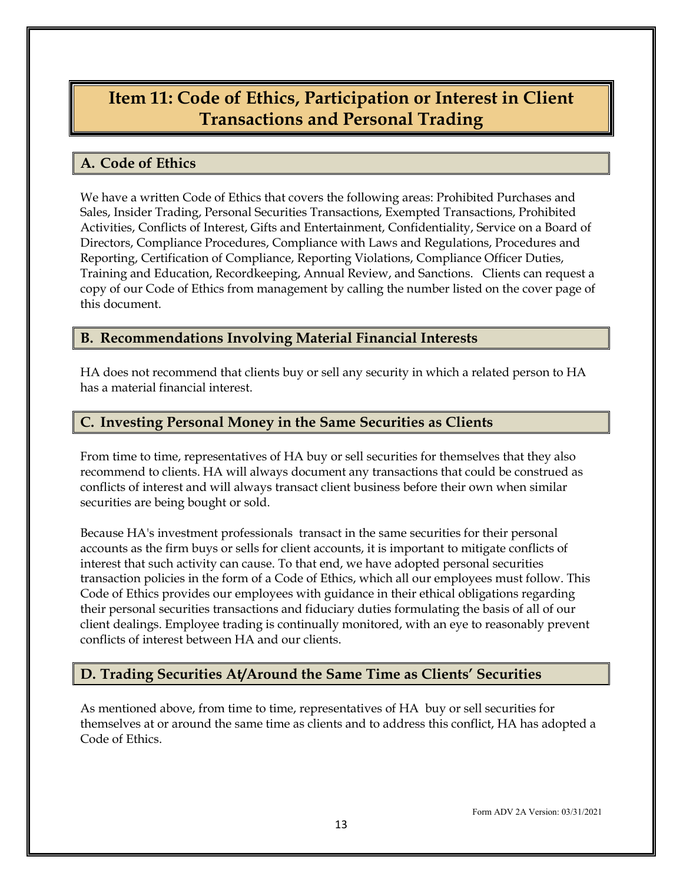# <span id="page-15-0"></span>**Item 11: Code of Ethics, Participation or Interest in Client Transactions and Personal Trading**

#### **A. Code of Ethics**

We have a written Code of Ethics that covers the following areas: Prohibited Purchases and Sales, Insider Trading, Personal Securities Transactions, Exempted Transactions, Prohibited Activities, Conflicts of Interest, Gifts and Entertainment, Confidentiality, Service on a Board of Directors, Compliance Procedures, Compliance with Laws and Regulations, Procedures and Reporting, Certification of Compliance, Reporting Violations, Compliance Officer Duties, Training and Education, Recordkeeping, Annual Review, and Sanctions. Clients can request a copy of our Code of Ethics from management by calling the number listed on the cover page of this document.

#### **B. Recommendations Involving Material Financial Interests**

HA does not recommend that clients buy or sell any security in which a related person to HA has a material financial interest.

### **C. Investing Personal Money in the Same Securities as Clients**

From time to time, representatives of HA buy or sell securities for themselves that they also recommend to clients. HA will always document any transactions that could be construed as conflicts of interest and will always transact client business before their own when similar securities are being bought or sold.

Because HA's investment professionals transact in the same securities for their personal accounts as the firm buys or sells for client accounts, it is important to mitigate conflicts of interest that such activity can cause. To that end, we have adopted personal securities transaction policies in the form of a Code of Ethics, which all our employees must follow. This Code of Ethics provides our employees with guidance in their ethical obligations regarding their personal securities transactions and fiduciary duties formulating the basis of all of our client dealings. Employee trading is continually monitored, with an eye to reasonably prevent conflicts of interest between HA and our clients.

### **D. Trading Securities At/Around the Same Time as Clients' Securities**

As mentioned above, from time to time, representatives of HA buy or sell securities for themselves at or around the same time as clients and to address this conflict, HA has adopted a Code of Ethics.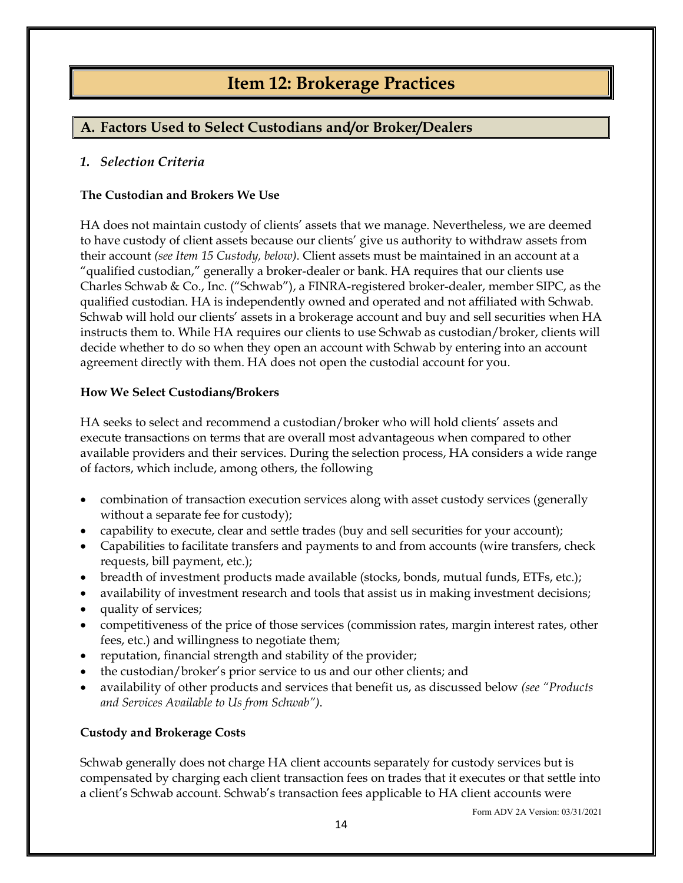# **Item 12: Brokerage Practices**

### <span id="page-16-0"></span>**A. Factors Used to Select Custodians and/or Broker/Dealers**

#### *1. Selection Criteria*

#### **The Custodian and Brokers We Use**

HA does not maintain custody of clients' assets that we manage. Nevertheless, we are deemed to have custody of client assets because our clients' give us authority to withdraw assets from their account *(see Item 15 Custody, below)*. Client assets must be maintained in an account at a "qualified custodian," generally a broker-dealer or bank. HA requires that our clients use Charles Schwab & Co., Inc. ("Schwab"), a FINRA-registered broker-dealer, member SIPC, as the qualified custodian. HA is independently owned and operated and not affiliated with Schwab. Schwab will hold our clients' assets in a brokerage account and buy and sell securities when HA instructs them to. While HA requires our clients to use Schwab as custodian/broker, clients will decide whether to do so when they open an account with Schwab by entering into an account agreement directly with them. HA does not open the custodial account for you.

#### **How We Select Custodians/Brokers**

HA seeks to select and recommend a custodian/broker who will hold clients' assets and execute transactions on terms that are overall most advantageous when compared to other available providers and their services. During the selection process, HA considers a wide range of factors, which include, among others, the following

- combination of transaction execution services along with asset custody services (generally without a separate fee for custody);
- capability to execute, clear and settle trades (buy and sell securities for your account);
- Capabilities to facilitate transfers and payments to and from accounts (wire transfers, check requests, bill payment, etc.);
- breadth of investment products made available (stocks, bonds, mutual funds, ETFs, etc.);
- availability of investment research and tools that assist us in making investment decisions;
- quality of services;
- competitiveness of the price of those services (commission rates, margin interest rates, other fees, etc.) and willingness to negotiate them;
- reputation, financial strength and stability of the provider;
- the custodian/broker's prior service to us and our other clients; and
- availability of other products and services that benefit us, as discussed below *(see "Products and Services Available to Us from Schwab")*.

#### **Custody and Brokerage Costs**

Schwab generally does not charge HA client accounts separately for custody services but is compensated by charging each client transaction fees on trades that it executes or that settle into a client's Schwab account. Schwab's transaction fees applicable to HA client accounts were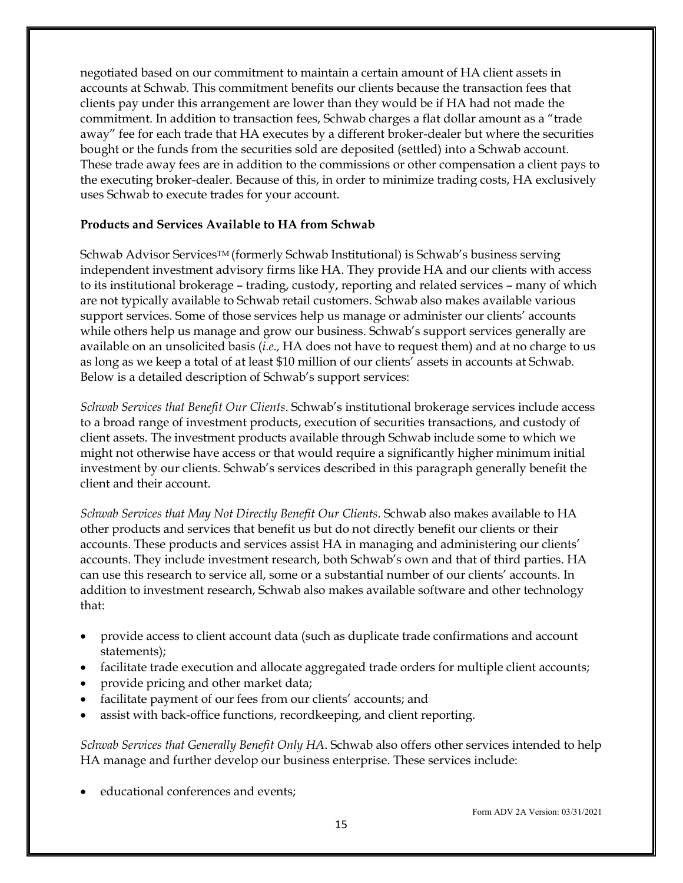negotiated based on our commitment to maintain a certain amount of HA client assets in accounts at Schwab. This commitment benefits our clients because the transaction fees that clients pay under this arrangement are lower than they would be if HA had not made the commitment. In addition to transaction fees, Schwab charges a flat dollar amount as a "trade away" fee for each trade that HA executes by a different broker-dealer but where the securities bought or the funds from the securities sold are deposited (settled) into a Schwab account. These trade away fees are in addition to the commissions or other compensation a client pays to the executing broker-dealer. Because of this, in order to minimize trading costs, HA exclusively uses Schwab to execute trades for your account.

#### **Products and Services Available to HA from Schwab**

Schwab Advisor ServicesTM (formerly Schwab Institutional) is Schwab's business serving independent investment advisory firms like HA. They provide HA and our clients with access to its institutional brokerage – trading, custody, reporting and related services – many of which are not typically available to Schwab retail customers. Schwab also makes available various support services. Some of those services help us manage or administer our clients' accounts while others help us manage and grow our business. Schwab's support services generally are available on an unsolicited basis (*i.e.,* HA does not have to request them) and at no charge to us as long as we keep a total of at least \$10 million of our clients' assets in accounts at Schwab. Below is a detailed description of Schwab's support services:

*Schwab Services that Benefit Our Clients*. Schwab's institutional brokerage services include access to a broad range of investment products, execution of securities transactions, and custody of client assets. The investment products available through Schwab include some to which we might not otherwise have access or that would require a significantly higher minimum initial investment by our clients. Schwab's services described in this paragraph generally benefit the client and their account.

*Schwab Services that May Not Directly Benefit Our Clients*. Schwab also makes available to HA other products and services that benefit us but do not directly benefit our clients or their accounts. These products and services assist HA in managing and administering our clients' accounts. They include investment research, both Schwab's own and that of third parties. HA can use this research to service all, some or a substantial number of our clients' accounts. In addition to investment research, Schwab also makes available software and other technology that:

- provide access to client account data (such as duplicate trade confirmations and account statements);
- facilitate trade execution and allocate aggregated trade orders for multiple client accounts;
- provide pricing and other market data;
- facilitate payment of our fees from our clients' accounts; and
- assist with back-office functions, recordkeeping, and client reporting.

*Schwab Services that Generally Benefit Only HA*. Schwab also offers other services intended to help HA manage and further develop our business enterprise. These services include:

• educational conferences and events;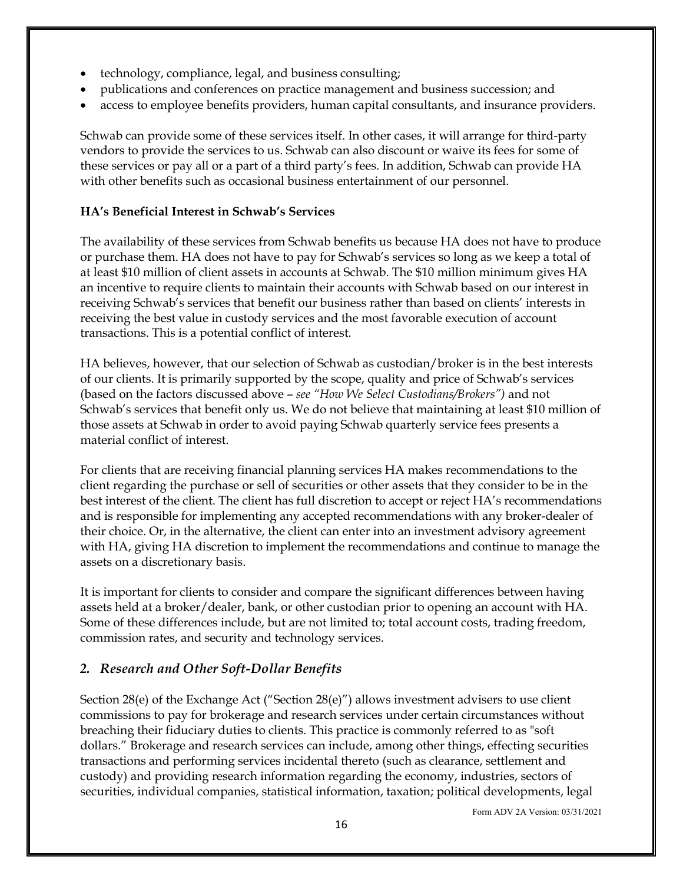- technology, compliance, legal, and business consulting;
- publications and conferences on practice management and business succession; and
- access to employee benefits providers, human capital consultants, and insurance providers.

Schwab can provide some of these services itself. In other cases, it will arrange for third-party vendors to provide the services to us. Schwab can also discount or waive its fees for some of these services or pay all or a part of a third party's fees. In addition, Schwab can provide HA with other benefits such as occasional business entertainment of our personnel.

#### **HA's Beneficial Interest in Schwab's Services**

The availability of these services from Schwab benefits us because HA does not have to produce or purchase them. HA does not have to pay for Schwab's services so long as we keep a total of at least \$10 million of client assets in accounts at Schwab. The \$10 million minimum gives HA an incentive to require clients to maintain their accounts with Schwab based on our interest in receiving Schwab's services that benefit our business rather than based on clients' interests in receiving the best value in custody services and the most favorable execution of account transactions. This is a potential conflict of interest.

HA believes, however, that our selection of Schwab as custodian/broker is in the best interests of our clients. It is primarily supported by the scope, quality and price of Schwab's services (based on the factors discussed above – *see "How We Select Custodians/Brokers")* and not Schwab's services that benefit only us. We do not believe that maintaining at least \$10 million of those assets at Schwab in order to avoid paying Schwab quarterly service fees presents a material conflict of interest.

For clients that are receiving financial planning services HA makes recommendations to the client regarding the purchase or sell of securities or other assets that they consider to be in the best interest of the client. The client has full discretion to accept or reject HA's recommendations and is responsible for implementing any accepted recommendations with any broker-dealer of their choice. Or, in the alternative, the client can enter into an investment advisory agreement with HA, giving HA discretion to implement the recommendations and continue to manage the assets on a discretionary basis.

It is important for clients to consider and compare the significant differences between having assets held at a broker/dealer, bank, or other custodian prior to opening an account with HA. Some of these differences include, but are not limited to; total account costs, trading freedom, commission rates, and security and technology services.

#### *2. Research and Other Soft-Dollar Benefits*

Section 28(e) of the Exchange Act ("Section 28(e)") allows investment advisers to use client commissions to pay for brokerage and research services under certain circumstances without breaching their fiduciary duties to clients. This practice is commonly referred to as "soft dollars." Brokerage and research services can include, among other things, effecting securities transactions and performing services incidental thereto (such as clearance, settlement and custody) and providing research information regarding the economy, industries, sectors of securities, individual companies, statistical information, taxation; political developments, legal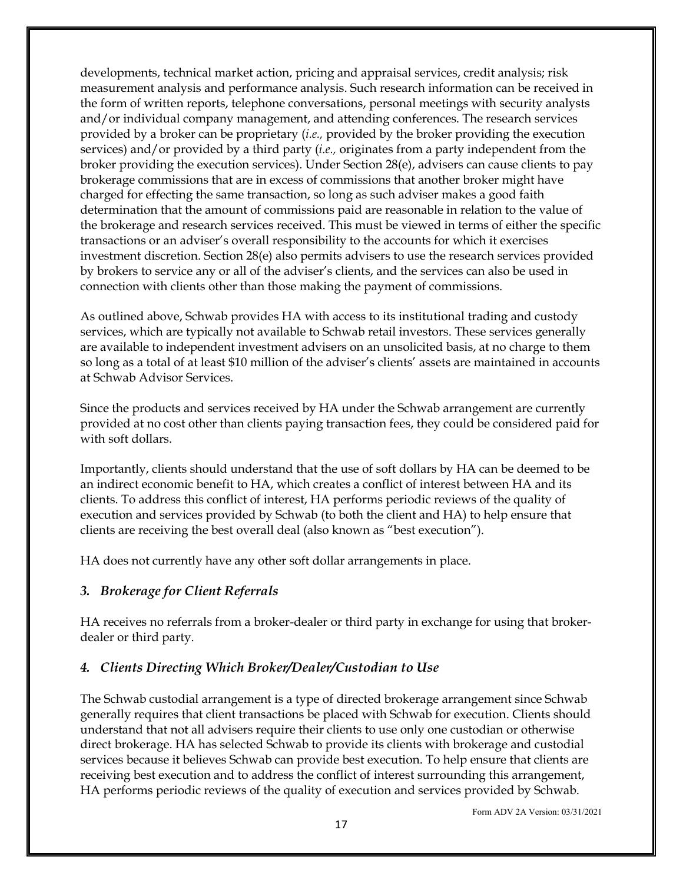developments, technical market action, pricing and appraisal services, credit analysis; risk measurement analysis and performance analysis. Such research information can be received in the form of written reports, telephone conversations, personal meetings with security analysts and/or individual company management, and attending conferences. The research services provided by a broker can be proprietary (*i.e.,* provided by the broker providing the execution services) and/or provided by a third party (*i.e.,* originates from a party independent from the broker providing the execution services). Under Section 28(e), advisers can cause clients to pay brokerage commissions that are in excess of commissions that another broker might have charged for effecting the same transaction, so long as such adviser makes a good faith determination that the amount of commissions paid are reasonable in relation to the value of the brokerage and research services received. This must be viewed in terms of either the specific transactions or an adviser's overall responsibility to the accounts for which it exercises investment discretion. Section 28(e) also permits advisers to use the research services provided by brokers to service any or all of the adviser's clients, and the services can also be used in connection with clients other than those making the payment of commissions.

As outlined above, Schwab provides HA with access to its institutional trading and custody services, which are typically not available to Schwab retail investors. These services generally are available to independent investment advisers on an unsolicited basis, at no charge to them so long as a total of at least \$10 million of the adviser's clients' assets are maintained in accounts at Schwab Advisor Services.

Since the products and services received by HA under the Schwab arrangement are currently provided at no cost other than clients paying transaction fees, they could be considered paid for with soft dollars.

Importantly, clients should understand that the use of soft dollars by HA can be deemed to be an indirect economic benefit to HA, which creates a conflict of interest between HA and its clients. To address this conflict of interest, HA performs periodic reviews of the quality of execution and services provided by Schwab (to both the client and HA) to help ensure that clients are receiving the best overall deal (also known as "best execution").

HA does not currently have any other soft dollar arrangements in place.

#### *3. Brokerage for Client Referrals*

HA receives no referrals from a broker-dealer or third party in exchange for using that brokerdealer or third party.

#### *4. Clients Directing Which Broker/Dealer/Custodian to Use*

The Schwab custodial arrangement is a type of directed brokerage arrangement since Schwab generally requires that client transactions be placed with Schwab for execution. Clients should understand that not all advisers require their clients to use only one custodian or otherwise direct brokerage. HA has selected Schwab to provide its clients with brokerage and custodial services because it believes Schwab can provide best execution. To help ensure that clients are receiving best execution and to address the conflict of interest surrounding this arrangement, HA performs periodic reviews of the quality of execution and services provided by Schwab.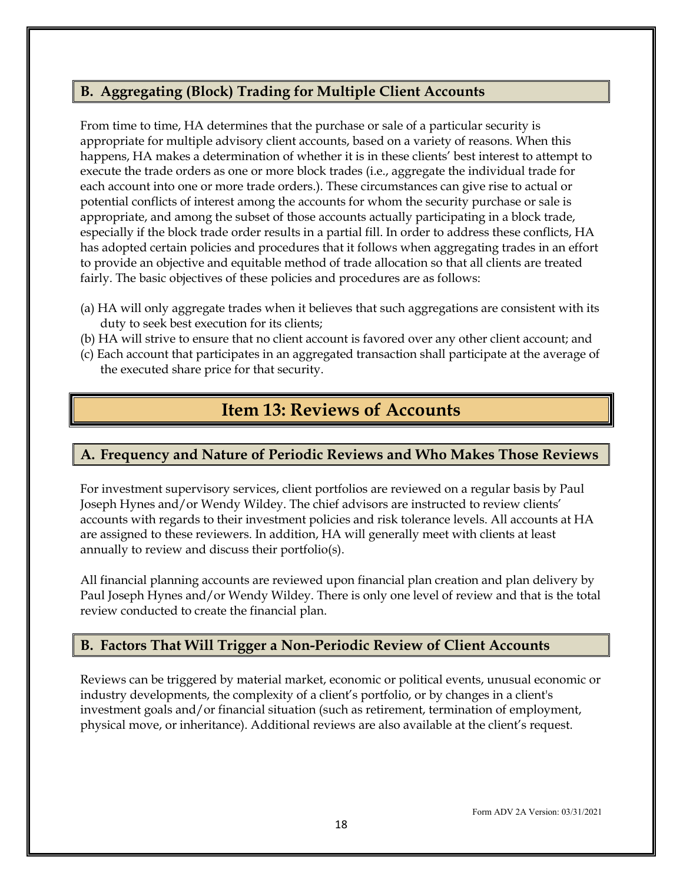### **B. Aggregating (Block) Trading for Multiple Client Accounts**

From time to time, HA determines that the purchase or sale of a particular security is appropriate for multiple advisory client accounts, based on a variety of reasons. When this happens, HA makes a determination of whether it is in these clients' best interest to attempt to execute the trade orders as one or more block trades (i.e., aggregate the individual trade for each account into one or more trade orders.). These circumstances can give rise to actual or potential conflicts of interest among the accounts for whom the security purchase or sale is appropriate, and among the subset of those accounts actually participating in a block trade, especially if the block trade order results in a partial fill. In order to address these conflicts, HA has adopted certain policies and procedures that it follows when aggregating trades in an effort to provide an objective and equitable method of trade allocation so that all clients are treated fairly. The basic objectives of these policies and procedures are as follows:

- (a) HA will only aggregate trades when it believes that such aggregations are consistent with its duty to seek best execution for its clients;
- (b) HA will strive to ensure that no client account is favored over any other client account; and
- <span id="page-20-0"></span>(c) Each account that participates in an aggregated transaction shall participate at the average of the executed share price for that security.

# **Item 13: Reviews of Accounts**

### **A. Frequency and Nature of Periodic Reviews and Who Makes Those Reviews**

For investment supervisory services, client portfolios are reviewed on a regular basis by Paul Joseph Hynes and/or Wendy Wildey. The chief advisors are instructed to review clients' accounts with regards to their investment policies and risk tolerance levels. All accounts at HA are assigned to these reviewers. In addition, HA will generally meet with clients at least annually to review and discuss their portfolio(s).

All financial planning accounts are reviewed upon financial plan creation and plan delivery by Paul Joseph Hynes and/or Wendy Wildey. There is only one level of review and that is the total review conducted to create the financial plan.

### **B. Factors That Will Trigger a Non-Periodic Review of Client Accounts**

Reviews can be triggered by material market, economic or political events, unusual economic or industry developments, the complexity of a client's portfolio, or by changes in a client's investment goals and/or financial situation (such as retirement, termination of employment, physical move, or inheritance). Additional reviews are also available at the client's request.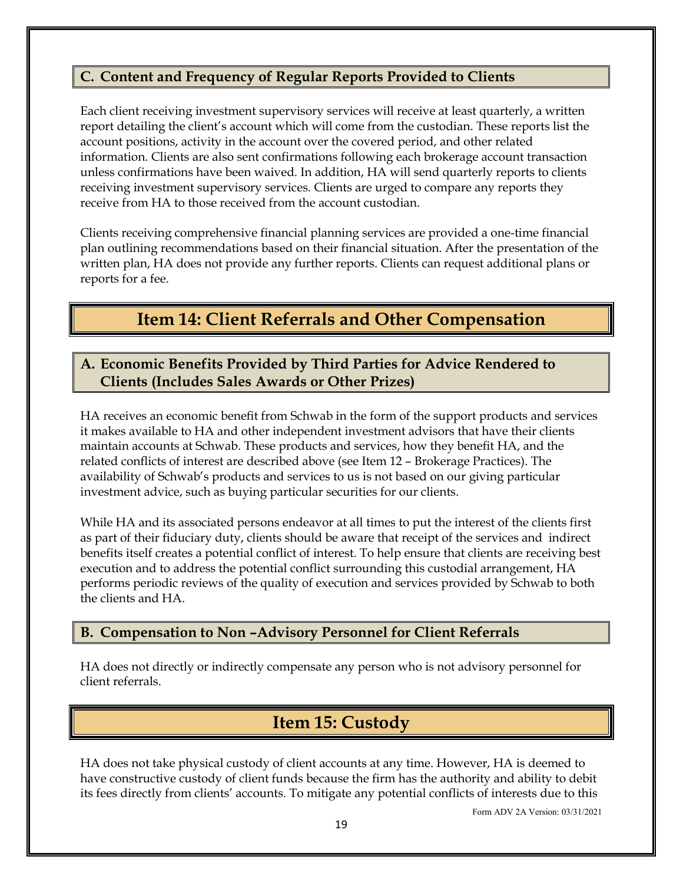### **C. Content and Frequency of Regular Reports Provided to Clients**

Each client receiving investment supervisory services will receive at least quarterly, a written report detailing the client's account which will come from the custodian. These reports list the account positions, activity in the account over the covered period, and other related information. Clients are also sent confirmations following each brokerage account transaction unless confirmations have been waived. In addition, HA will send quarterly reports to clients receiving investment supervisory services. Clients are urged to compare any reports they receive from HA to those received from the account custodian.

Clients receiving comprehensive financial planning services are provided a one-time financial plan outlining recommendations based on their financial situation. After the presentation of the written plan, HA does not provide any further reports. Clients can request additional plans or reports for a fee.

# **Item 14: Client Referrals and Other Compensation**

#### <span id="page-21-0"></span>**A. Economic Benefits Provided by Third Parties for Advice Rendered to Clients (Includes Sales Awards or Other Prizes)**

HA receives an economic benefit from Schwab in the form of the support products and services it makes available to HA and other independent investment advisors that have their clients maintain accounts at Schwab. These products and services, how they benefit HA, and the related conflicts of interest are described above (see Item 12 – Brokerage Practices). The availability of Schwab's products and services to us is not based on our giving particular investment advice, such as buying particular securities for our clients.

While HA and its associated persons endeavor at all times to put the interest of the clients first as part of their fiduciary duty, clients should be aware that receipt of the services and indirect benefits itself creates a potential conflict of interest. To help ensure that clients are receiving best execution and to address the potential conflict surrounding this custodial arrangement, HA performs periodic reviews of the quality of execution and services provided by Schwab to both the clients and HA.

#### **B. Compensation to Non –Advisory Personnel for Client Referrals**

<span id="page-21-1"></span>HA does not directly or indirectly compensate any person who is not advisory personnel for client referrals.

# **Item 15: Custody**

HA does not take physical custody of client accounts at any time. However, HA is deemed to have constructive custody of client funds because the firm has the authority and ability to debit its fees directly from clients' accounts. To mitigate any potential conflicts of interests due to this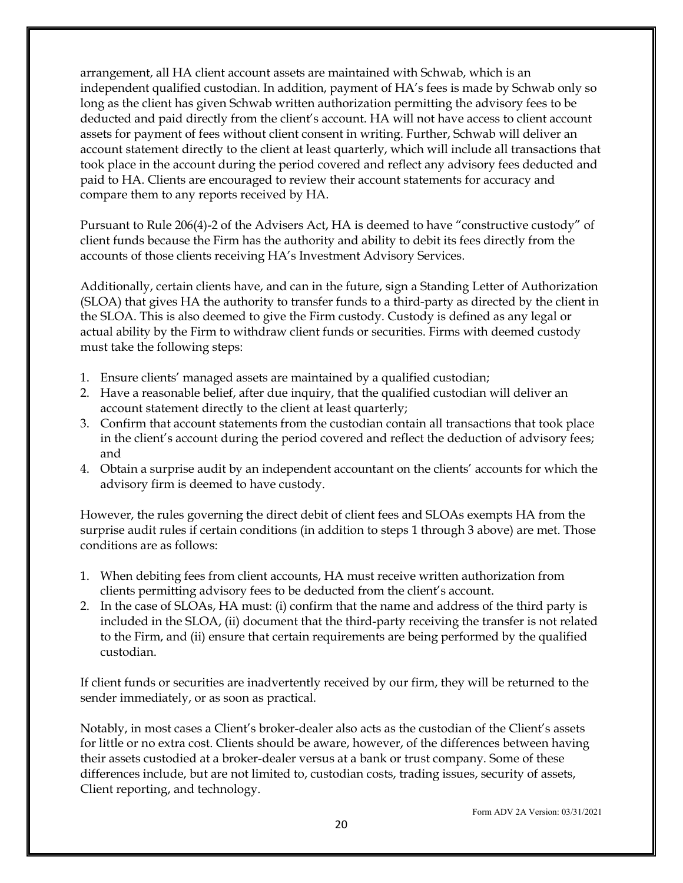arrangement, all HA client account assets are maintained with Schwab, which is an independent qualified custodian. In addition, payment of HA's fees is made by Schwab only so long as the client has given Schwab written authorization permitting the advisory fees to be deducted and paid directly from the client's account. HA will not have access to client account assets for payment of fees without client consent in writing. Further, Schwab will deliver an account statement directly to the client at least quarterly, which will include all transactions that took place in the account during the period covered and reflect any advisory fees deducted and paid to HA. Clients are encouraged to review their account statements for accuracy and compare them to any reports received by HA.

Pursuant to Rule 206(4)-2 of the Advisers Act, HA is deemed to have "constructive custody" of client funds because the Firm has the authority and ability to debit its fees directly from the accounts of those clients receiving HA's Investment Advisory Services.

Additionally, certain clients have, and can in the future, sign a Standing Letter of Authorization (SLOA) that gives HA the authority to transfer funds to a third-party as directed by the client in the SLOA. This is also deemed to give the Firm custody. Custody is defined as any legal or actual ability by the Firm to withdraw client funds or securities. Firms with deemed custody must take the following steps:

- 1. Ensure clients' managed assets are maintained by a qualified custodian;
- 2. Have a reasonable belief, after due inquiry, that the qualified custodian will deliver an account statement directly to the client at least quarterly;
- 3. Confirm that account statements from the custodian contain all transactions that took place in the client's account during the period covered and reflect the deduction of advisory fees; and
- 4. Obtain a surprise audit by an independent accountant on the clients' accounts for which the advisory firm is deemed to have custody.

However, the rules governing the direct debit of client fees and SLOAs exempts HA from the surprise audit rules if certain conditions (in addition to steps 1 through 3 above) are met. Those conditions are as follows:

- 1. When debiting fees from client accounts, HA must receive written authorization from clients permitting advisory fees to be deducted from the client's account.
- 2. In the case of SLOAs, HA must: (i) confirm that the name and address of the third party is included in the SLOA, (ii) document that the third-party receiving the transfer is not related to the Firm, and (ii) ensure that certain requirements are being performed by the qualified custodian.

If client funds or securities are inadvertently received by our firm, they will be returned to the sender immediately, or as soon as practical.

Notably, in most cases a Client's broker-dealer also acts as the custodian of the Client's assets for little or no extra cost. Clients should be aware, however, of the differences between having their assets custodied at a broker-dealer versus at a bank or trust company. Some of these differences include, but are not limited to, custodian costs, trading issues, security of assets, Client reporting, and technology.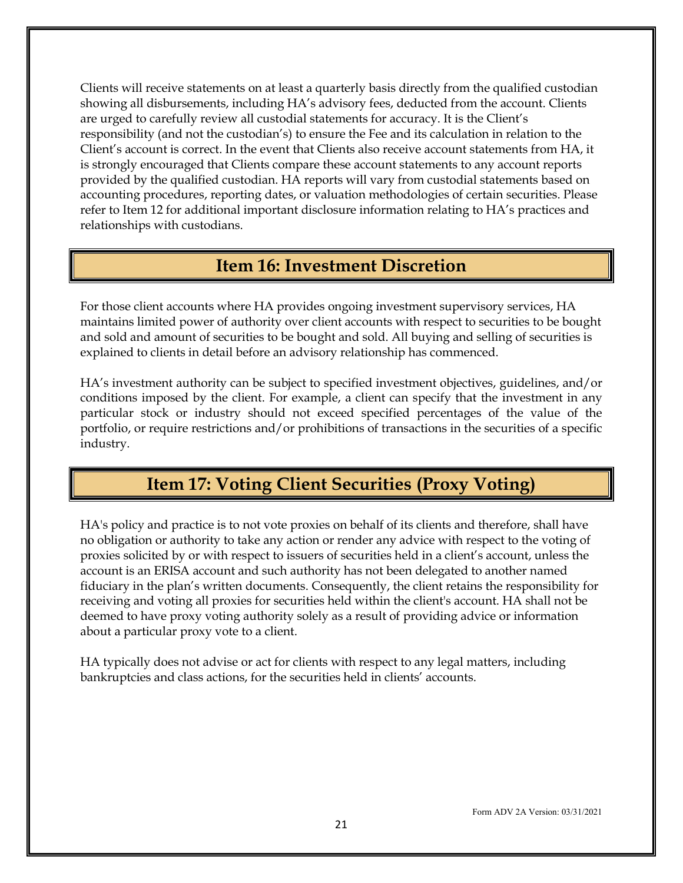Clients will receive statements on at least a quarterly basis directly from the qualified custodian showing all disbursements, including HA's advisory fees, deducted from the account. Clients are urged to carefully review all custodial statements for accuracy. It is the Client's responsibility (and not the custodian's) to ensure the Fee and its calculation in relation to the Client's account is correct. In the event that Clients also receive account statements from HA, it is strongly encouraged that Clients compare these account statements to any account reports provided by the qualified custodian. HA reports will vary from custodial statements based on accounting procedures, reporting dates, or valuation methodologies of certain securities. Please refer to Item 12 for additional important disclosure information relating to HA's practices and relationships with custodians.

### **Item 16: Investment Discretion**

<span id="page-23-0"></span>For those client accounts where HA provides ongoing investment supervisory services, HA maintains limited power of authority over client accounts with respect to securities to be bought and sold and amount of securities to be bought and sold. All buying and selling of securities is explained to clients in detail before an advisory relationship has commenced.

HA's investment authority can be subject to specified investment objectives, guidelines, and/or conditions imposed by the client. For example, a client can specify that the investment in any particular stock or industry should not exceed specified percentages of the value of the portfolio, or require restrictions and/or prohibitions of transactions in the securities of a specific industry.

# **Item 17: Voting Client Securities (Proxy Voting)**

<span id="page-23-1"></span>HA's policy and practice is to not vote proxies on behalf of its clients and therefore, shall have no obligation or authority to take any action or render any advice with respect to the voting of proxies solicited by or with respect to issuers of securities held in a client's account, unless the account is an ERISA account and such authority has not been delegated to another named fiduciary in the plan's written documents. Consequently, the client retains the responsibility for receiving and voting all proxies for securities held within the client's account. HA shall not be deemed to have proxy voting authority solely as a result of providing advice or information about a particular proxy vote to a client.

HA typically does not advise or act for clients with respect to any legal matters, including bankruptcies and class actions, for the securities held in clients' accounts.